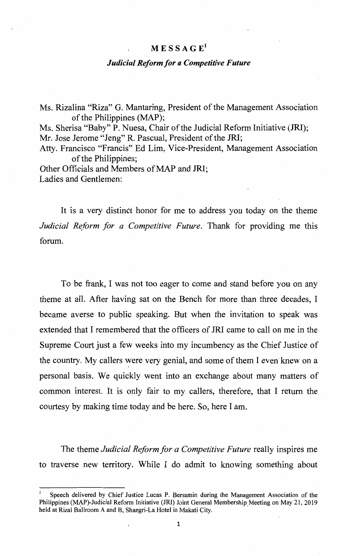## $M E S S A G E<sup>1</sup>$

## *Judicial Reform for a Competitive Future*

Ms. Rizalina "Riza" G. Mantaring, President of the Management Association of the Philippines (MAP); Ms. Sherisa "Baby" P. Nuesa, Chair of the Judicial Reform Initiative (JRI); Mr. Jose Jerome "Jeng" R. Pascual, President of the JRI; Atty. Francisco "Francis" Ed Lim, Vice-President, Management Association of the Philippines; Other Officials and Members of MAP and JRI;

Ladies and Gentlemen:

It is a very distinct honor for me to address you today on the theme *Judicial Reform for a Competitive Future.* Thank for providing me this forum.

To be frank, I was not too eager to come and stand before you on any theme at all. After having sat on the Bench for more than three decades, I became averse to public speaking. But when the invitation to speak was extended that I remembered that the officers of JRI came to call on me in the Supreme Court just a few weeks into my incumbency as the Chief Justice of the country. My callers were very genial, and some of them I even knew on a personal basis. We quickly went into an exchange about many matters of common interest. It is only fair to my callers, therefore, that I return the courtesy by making time today and be here. So, here I am.

The theme *Judicial Reform for a Competitive Future* really inspires me to traverse new territory. While I do admit to knowing something about

Speech delivered by Chief Justice Lucas P. Bersamin during the Management Association of the Philippines (MAP)-Judicial Reform Initiative ( JRI) Joint General Membership Meeting on May 21, 2019 held at Rizal Ballroom A and B, Shangri-La Hotel in Makati City.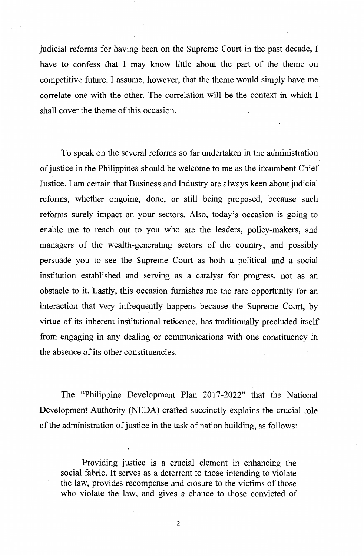judicial reforms for having been on the Supreme Court in the past decade, I have to confess that I may know little about the part of the theme on competitive future. I assume, however, that the theme would simply have me correlate one with the other. The correlation will be the context in which I shall cover the theme of this occasion.

To speak on the several reforms so far undertaken in the administration of justice in the Philippines should be welcome to me as the incumbent Chief Justice. I am certain that Business and Industry are always keen about judicial reforms, whether ongoing, done, or still being proposed, because such reforms surely impact on your sectors. Also, today's occasion is going to enable me to reach out to you who are the leaders, policy-makers, and managers of the wealth-generating sectors of the country, and possibly persuade you to see the Supreme Court as both a political and a social institution established and serving as a catalyst for progress, not as an obstacle to it. Lastly, this occasion furnishes me the rare opportunity for an interaction that very infrequently happens because the Supreme Court, by virtue of its inherent institutional reticence, has traditionally precluded itself from engaging in any dealing or communications with one constituency in the absence of its other constituencies.

The "Philippine Development Plan 2017-2022" that the National Development Authority (NEDA) crafted succinctly explains the crucial role of the administration of justice in the task of nation building, as follows:

Providing justice is a crucial element in enhancing the social fabric. It serves as a deterrent to those intending to violate the law, provides recompense and closure to the victims of those who violate the law, and gives a chance to those convicted of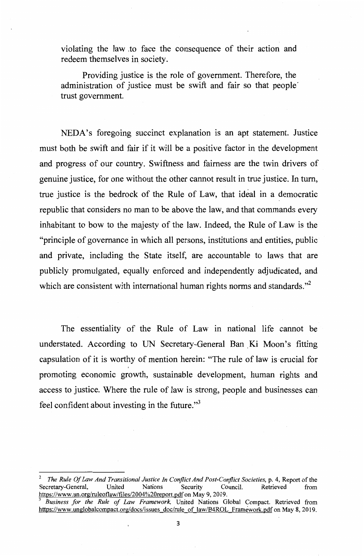violating the law ,to face the consequence of their action and redeem themselves in society.

Providing justice is the role of government. Therefore, the administration of justice must be swift and fair so that people· trust government.

NEDA's foregoing succinct explanation is an apt statement. Justice must both be swift and fair if it will be a positive factor in the development and progress of our country. Swiftness and fairness are the twin drivers of genuine justice, for one without the other cannot result in true justice. In turn, true justice is the bedrock of the Rule of Law, that ideal in a democratic republic that considers no man to be above the law, and that commands every inhabitant to bow to the majesty of the law. Indeed, the Rule of Law is the "principle of governance in which all persons, institutions and entities, public and private, including the State itself, are accountable to laws that are publicly promulgated, equally enforced and independently adjudicated, and which are consistent with international human rights norms and standards."<sup>2</sup>

The essentiality of the Rule of Law in national life cannot be understated. According to UN Secretary-General Ban Ki Moon's fitting capsulation of it is worthy of mention herein: "The rule of law is crucial for promoting economic growth, sustainable development, human rights and access to justice. Where the rule of law is strong, people and businesses can feel confident about investing in the future."<sup>3</sup>

*The Rule Of Law And Transitional Justice In Conflict And Post-Conflict Societies, p. 4, Report of the*<br>
cretary-General, United Nations Security Council. Retrieved from Secretary-General, https://www.un.org/ruleoflaw/files/2004%20report.pdf on May 9, 2019.

<sup>3</sup>*Business for the Rule of Law Framework,* United Nations Global Compact. Retrieved from https://www.unglobalcompact.org/docs/issues doc/rule of law/B4ROL Framework.pdf on May 8, 2019.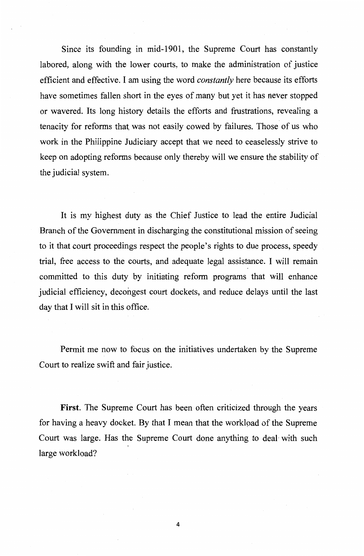Since its founding in mid-1901, the Supreme Court has constantly labored, along with the lower courts, to make the administration of justice efficient and effective. I am using the word *constantly* here because its efforts have sometimes fallen short in the eyes of many but yet it has never stopped or wavered. Its long history details the efforts and frustrations, revealing a tenacity for reforms that, was not easily cowed by failures. Those of us who work in the Philippine Judiciary accept that we need to ceaselessly strive to keep on adopting reforms because only thereby will we ensure the stability of the judicial system.

It is my highest duty as the Chief Justice to lead the entire Judicial Branch of the Government in discharging the constitutional mission of seeing to it that court proceedings respect the people's rights to due process, speedy trial, free access to the courts, and adequate legal assistance. I will remain committed to this duty by initiating reform programs that will enhance judicial efficiency, decongest court dockets, and reduce delays until the last day that I will sit in this office.

Permit me now to focus on the initiatives undertaken by the Supreme Court to realize swift and fair justice.

**First.** The Supreme Court has been often criticized through the years for having a heavy docket. By that I mean that the workload of the Supreme Court was large. Has the Supreme Court done anything to deal· with such large workload?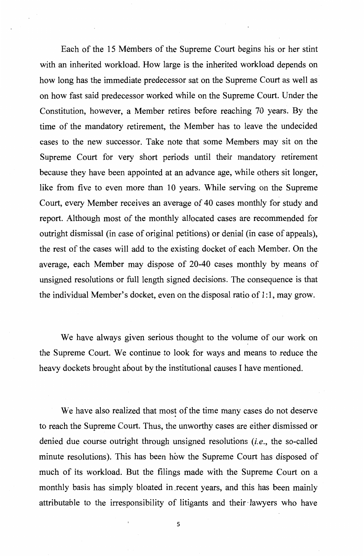Each of the 15 Members of the Supreme Court begins his or her stint with an inherited workload. How large is the inherited workload depends on how long has the immediate predecessor sat on the Supreme Court as well as on how fast said predecessor worked while on the Supreme Court. Under the Constitution, however, a Member retires before reaching 70 years. By the time of the mandatory retirement, the Member has to leave the undecided cases to the new successor. Take note that some Members may sit on the Supreme Court for very short periods until their mandatory retirement because they have been appointed at an advance age, while others sit longer, like from five to even more than 10 years. While serving on the Supreme Court, every Member receives an average of 40 cases monthly for study and report. Although most of the monthly allocated cases are recommended for outright dismissal (in case of original petitions) or denial (in case of appeals), the rest of the cases will add to the existing docket of each Member. On the average, each Member may dispose of 20-40 cases monthly by means of unsigned resolutions or full length signed decisions. The consequence is that the individual Member's docket, even on the disposal ratio of 1 :1, may grow.

We have always given serious thought to the volume of our work on the Supreme Court. We continue to look for ways and means to reduce the heavy dockets brought about by the institutional causes I have mentioned.

We have also realized that most of the time many cases do not deserve to reach the Supreme Court. Thus, the unworthy cases are either dismissed or denied due course outright through unsigned resolutions *(i.e.,* the so-called minute resolutions). This has been how the Supreme Court has disposed of much of its workload. But the filings made with the Supreme Court on a monthly basis has simply bloated in .recent years, and this has been mainly attributable to the irresponsibility of litigants and their· lawyers who have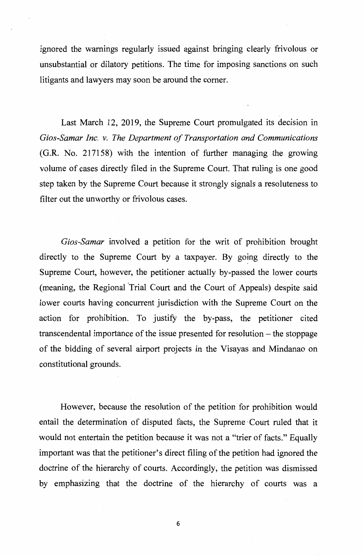ignored the warnings regularly issued against bringing clearly frivolous or unsubstantial or dilatory petitions. The time for imposing sanctions on such litigants and lawyers may soon be around the comer.

Last March 12, 2019, the Supreme Court promulgated its decision in *Gios-Samar Inc. v. The Department of Transportation and Communications*  (G.R. No. 217158) with the intention of further managing the growing volume of cases directly filed in the Supreme Court. That ruling is one good step taken by the Supreme Court because it strongly signals a resoluteness to filter out the unworthy or frivolous cases.

*Gios-Samar* involved a petition for the writ of prohibition brought directly to the Supreme Court by a taxpayer. By going directly to the Supreme Court, however, the petitioner actually by-passed the lower courts (meaning, the Regional 'Trial Court and the Court of Appeals) despite said lower courts having concurrent jurisdiction with the Supreme Court on the action for prohibition. To justify the by-pass, the petitioner cited transcendental importance of the issue presented for resolution – the stoppage of the bidding of several airport projects in the Visayas and Mindanao on constitutional grounds.

However, because the resolution of the petition for prohibition would entail the determination of disputed facts, the Supreme Court ruled that it would not entertain the petition because it was not a "trier of facts." Equally important was that the petitioner's direct filing of the petition had ignored the doctrine of the hierarchy of courts. Accordingly, the petition was dismissed by emphasizing that the doctrine of the hierarchy of courts was a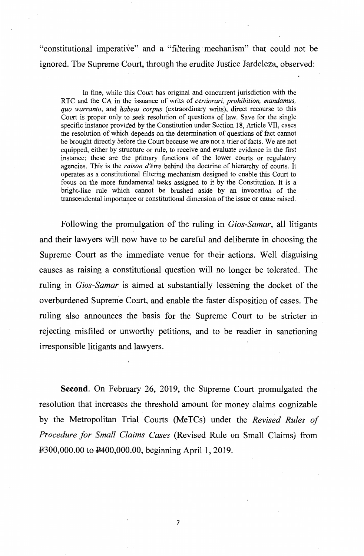"constitutional imperative" and a "filtering mechanism" that could not be ignored. The Supreme Court, through the erudite Justice Jardeleza, observed:

In fine, while this Court has original and concurrent jurisdiction with the RTC and the CA in the issuance of writs of *certiorari, prohibition, mandamus, quo warranto,* and *habeas corpus* (extraordinary writs), direct recourse to this Court is proper only to seek resolution of questions of law. Save for the single specific instance provided by the Constitution under Section 18, Article VII, cases the resolution of which depends on the determination of questions of fact cannot be brought directly before the Court because we are not a trier of facts. We are not equipped, either by structure or rule, to receive and evaluate evidence in the first instance; these are the primary functions of the lower courts or regulatory agencies. This is the *raison d'etre* behind the doctrine of hierarchy of courts. It operates as a constitutional filtering mechanism designed to enable this Court to focus on the more fundamental tasks assigned to it by the Constitution. It is a bright-line rule which cannot be brushed aside by an invocation of the transcendental importance or constitutional dimension of the issue or cause raised.

Following the promulgation of the ruling in *Gios-Samar,* all litigants and their lawyers will now have to be careful and deliberate in choosing the Supreme Court as the immediate venue for their actions. Well disguising causes as raising a constitutional question will no longer be tolerated. The ruling in *Gios-Samar* is aimed at substantially lessening the docket of the overburdened Supreme Court, and enable the faster disposition of cases. The ruling also announces the basis for the Supreme Court to be stricter in rejecting misfiled or unworthy petitions, and to be readier in sanctioning irresponsible litigants and lawyers.

**Second.** On February 26, 2019, the Supreme Court promulgated the resolution that increases the threshold amount for money claims cognizable by the Metropolitan Trial Courts (MeTCs) under the *Revised Rules of Procedure for Small Claims Cases* (Revised Rule on Small Claims) from P.300,000.00 to P.400,000.00, beginning April 1, 2019.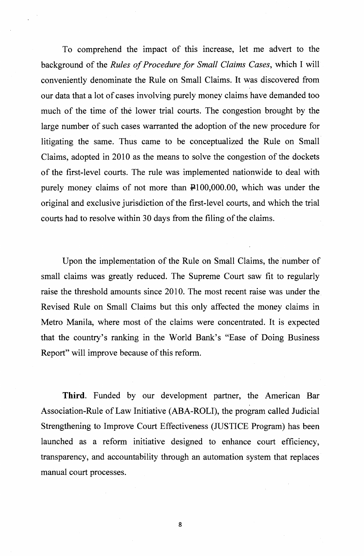To comprehend the impact of this increase, let me advert to the background of the *Rules of Procedure for Small Claims Cases,* which I will conveniently denominate the Rule on Small Claims. It was discovered from our data that a lot of cases involving purely money claims have demanded too much of the time of the lower trial courts. The congestion brought by the large number of such cases warranted the adoption of the new procedure for litigating the same. Thus came to be conceptualized the Rule on Small Claims, adopted in 2010 as the means to solve the congestion of the dockets of the first-level courts. The rule was implemented nationwide to deal with purely money claims of not more than  $\text{\textsterling}100,000.00$ , which was under the original and exclusive jurisdiction of the first-level courts, and which the trial courts had to resolve within 30 days from the filing of the claims.

Upon the implementation of the Rule on Small Claims, the number of small claims was greatly reduced. The Supreme Court saw fit to regularly raise the threshold amounts since 2010. The most recent raise was under the Revised Rule on Small Claims but this only affected the money claims in Metro Manila, where most of the claims were concentrated. It is expected that the country's ranking in the World Bank's "Ease of Doing Business Report" will improve because of this reform.

**Third.** Funded by our development partner, the American Bar Association-Rule of Law Initiative (ABA-ROLI), the program called Judicial Strengthening to Improve Court Effectiveness (JUSTICE Program) has been launched as a reform initiative designed to enhance court efficiency, transparency, and accountability through an automation system that replaces manual court processes.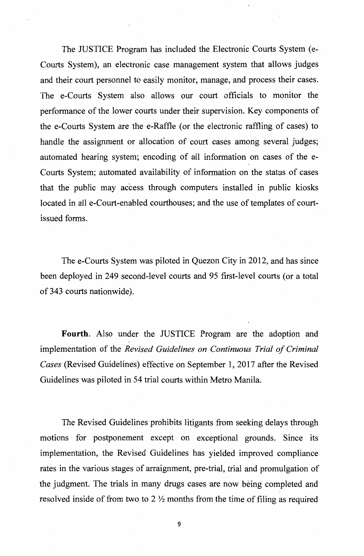The JUSTICE Program has included the Electronic Courts System (e-Courts System), an electronic case management system that allows judges and their court personnel to easily monitor, manage, and process their cases. The e-Courts System also allows our court officials to monitor the performance of the lower courts under their supervision. Key components of the e-Courts System are the e-Raffle (or the electronic raffling of cases) to handle the assignment or allocation of court cases among several judges; automated hearing system; encoding of all information on cases of the e-Courts System; automated availability of information on the status of cases that the public may access through computers installed in public kiosks located in all e-Court-enabled courthouses; and the use of templates of courtissued forms.

The e-Courts System was piloted in Quezon City in 2012, and has since been deployed in 249 second-level courts and 95 first-level courts (or a total of 343 courts nationwide).

**Fourth.** Also under the JUSTICE Program are the adoption and implementation of the *Revised Guidelines on Continuous Trial of Criminal Cases* (Revised Guidelines) effective on September 1, 2017 after the Revised Guidelines was piloted in 54 trial courts within Metro Manila.

The Revised Guidelines prohibits litigants from seeking delays through motions for postponement except on exceptional grounds. Since its implementation, the Revised Guidelines has yielded improved compliance rates in the various stages of arraignment, pre-trial, trial and promulgation of the judgment. The trials in many drugs cases are now being completed and resolved inside of from two to 2  $\frac{1}{2}$  months from the time of filing as required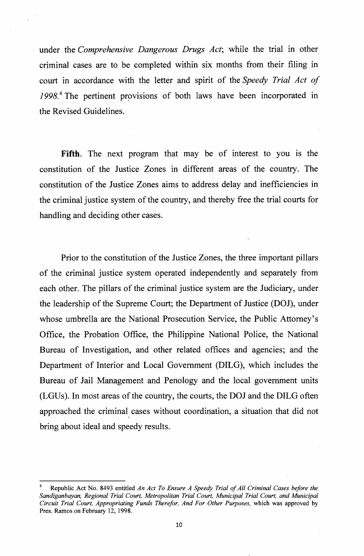under the *Comprehensive Dangerous Drugs Act;* while the trial in other criminal cases are to be completed within six months from their filing in court in accordance with the letter and spirit of the *Speedy Trial Act of*  1998.<sup>4</sup> The pertinent provisions of both laws have been incorporated in the Revised Guidelines.

**Fifth.** The next program that may be of interest to you is the constitution of the Justice Zones in different areas of the country. The constitution of the Justice Zones aims to address delay and inefficiencies in the criminal justice system of the country, and thereby free the trial courts for handling and deciding other cases.

Prior to the constitution of the Justice Zones, the three important pillars of the criminal justice system operated independently and separately from each other. The pillars of the criminal justice system are the Judiciary, under the leadership of the Supreme Court; the Department of Justice (DOJ), under whose umbrella are the National Prosecution Service, the Public Attorney's Office, the Probation Office, the Philippine National Police, the National Bureau of Investigation, and other related offices and agencies; and the Department of Interior and Local Government (DILG), which includes the Bureau of Jail Management and Penology and the local government units (LGUs). In most areas of the country, the courts, the DOJ and the DILG often approached the criminal cases without coordination, a situation that did not bring about ideal and speedy results.

<sup>4</sup> Republic Act No. 8493 entitled *An Act To Ensure A Speedy Trial of All Criminal Cases before the Sandiganbayan, Regional Trial Court, Metropolitan Trial Court, Municipal Trial Court, and Municipal Circuit Trial Court, Appropriating Funds Therefor, And For Other Purposes,* which was approved by Pres. Ramos on February 12, 1998.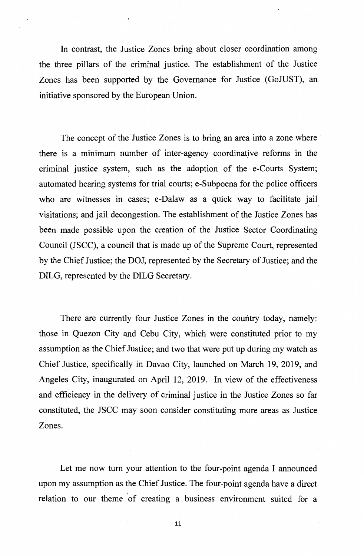In contrast, the Justice Zones bring about closer coordination among the three pillars of the criminal justice. The establishment of the Justice Zones has been supported by the Governance for Justice (GoJUST), an initiative sponsored by the European Union.

The concept of the Justice Zones is to bring an area into a zone where there is a minimum number of inter-agency coordinative reforms in the criminal justice system, such as the adoption of the e-Courts System; automated hearing systems for trial courts; e-Subpoena for the police officers who are witnesses in cases; e-Dalaw as a quick way to facilitate jail visitations; and jail decongestion. The establishment of the Justice Zones has been made possible upon the creation of the Justice Sector Coordinating Council (JSCC), a council that is made up of the Supreme Court, represented by the Chief Justice; the DOJ, represented by the Secretary of Justice; and the DILG, represented by the DILG Secretary.

There are currently four Justice Zones in the country today, namely: those in Quezon City and Cebu City, which were constituted prior to my assumption as the Chief Justice; and two that were put up during my watch as Chief Justice, specifically in Davao City, launched on March 19, 2019, and Angeles City, inaugurated on April 12, 2019. In view of the effectiveness and efficiency in the delivery of criminal justice in the Justice Zones so far constituted, the JSCC may soon consider constituting more areas as Justice Zones.

Let me now turn your attention to the four-point agenda I announced upon my assumption as the Chief Justice. The four-point agenda have a direct relation to our theme of creating a business environment suited for a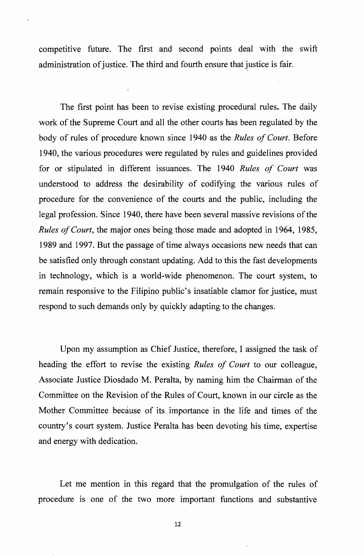competitive future. The first and second points deal with the swift administration of justice. The third and fourth ensure that justice is fair.

The first point has been to revise existing procedural rules. The daily work of the Supreme Court and all the other courts has been regulated by the body of rules of procedure known since 1940 as the *Rules of Court.* Before 1940, the various procedures were regulated by rules and guidelines provided for or stipulated in different issuances. The 1940 *Rules of Court* was understood to address the desirability of codifying the various rules of procedure for the convenience of the courts and the public, including the legal profession. Since 1940, there have been several massive revisions of the *Rules of Court,* the major ones being those made and adopted in 1964, 1985, 1989 and 1997. But the passage of time always occasions new needs that can be satisfied only through constant updating. Add to this the fast developments in technology, which is a world-wide phenomenon. The court system, to remain responsive to the Filipino public's insatiable clamor for justice, must respond to such demands only by quickly adapting to the changes.

Upon my assumption as Chief Justice, therefore, I assigned the task of heading the effort to revise the existing *Rules of Court* to our colleague, Associate Justice Diosdado M. Peralta, by naming him the Chairman of the Committee on the Revision of the Rules of Court, known in our circle as the Mother Committee because of its importance in the life and times of the country's court system. Justice Peralta has been devoting his time, expertise and energy with dedication.

Let me mention in this regard that the promulgation of the rules of procedure is one of the two more important functions and substantive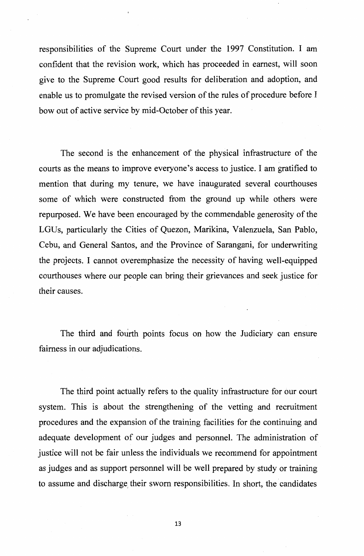responsibilities of the Supreme Court under the 1997 Constitution. I am confident that the revision work, which has proceeded in earnest, will soon give to the Supreme Court good results for deliberation and adoption, and enable us to promulgate the revised version of the rules of procedure before I bow out of active service by mid-October of this year.

The second is the enhancement of the physical infrastructure of the courts as the means to improve everyone's access to justice. I am gratified to mention that during my tenure, we have inaugurated several courthouses some of which were constructed from the ground up while others were repurposed. We have been encouraged by the commendable generosity of the LGUs, particularly the Cities of Quezon, Marikina, Valenzuela, San Pablo, Cebu, and General Santos, and the Province of Sarangani, for underwriting the projects. I cannot overemphasize the necessity of having well-equipped courthouses where our people can bring their grievances and seek justice for their causes.

The third and fourth points focus on how the Judiciary can ensure fairness in our adjudications.

The third point actually refers to the quality infrastructure for our court system. This is about the strengthening of the vetting and recruitment procedures and the expansion of the training facilities for the continuing and adequate development of our judges and personnel. The administration of justice will not be fair unless the individuals we recommend for appointment as judges and as support personnel will be well prepared by study or training to assume and discharge their sworn responsibilities. In short, the candidates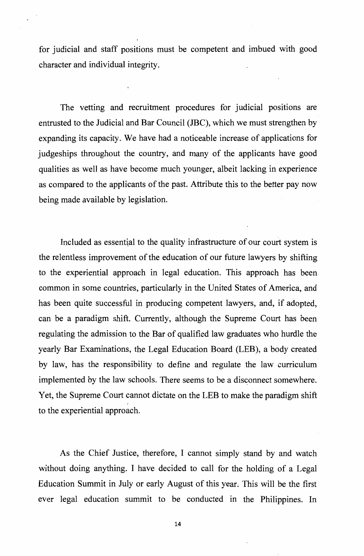for judicial and staff positions must be competent and imbued with good character and individual integrity.

The vetting and recruitment procedures for judicial positions are entrusted to the Judicial and Bar Council (JBC), which we must strengthen by expanding its capacity. We have had a noticeable increase of applications for judgeships throughout the country, and many of the applicants have good qualities as well as have become much younger, albeit lacking in experience as compared to the applicants of the past. Attribute this to the better pay now being made available by legislation.

Included as essential to the quality infrastructure of our court system is the relentless improvement of the education of our future lawyers by shifting to the experiential approach in legal education. This approach has been common in some countries, particularly in the United States of America, and has been quite successful in producing competent lawyers, and, if adopted, can be a paradigm shift. Currently, although the Supreme Court has been regulating the admission to the Bar of qualified law graduates who hurdle the yearly Bar Examinations, the Legal Education Board (LEB), a body created by law, has the responsibility to define and regulate the law curriculum implemented by the law schools. There seems to be a disconnect somewhere. Yet, the Supreme Court cannot dictate on the LEB to make the paradigm shift to the experiential approach.

As the Chief Justice, therefore, I cannot simply stand by and watch without doing anything. I have decided to call for the holding of a Legal Education Summit in July or early August of this year. This will be the first ever legal education summit to be conducted in the Philippines. In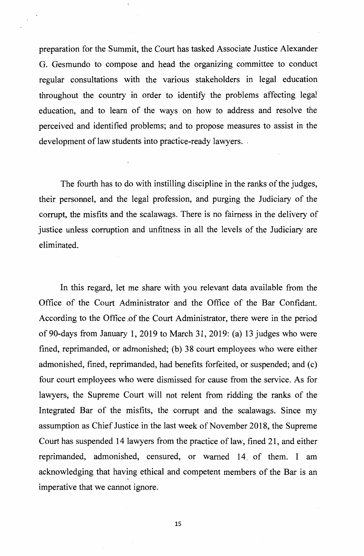preparation for the Summit, the Court has tasked Associate Justice Alexander G. Gesmundo to compose and head the organizing committee to conduct regular consultations with the various stakeholders in legal education throughout the country in order to identify the problems affecting legal education, and to learn of the ways on how to address and resolve the perceived and identified problems; and to propose measures to assist in the development of law students into practice-ready lawyers. .

The fourth has to do with instilling discipline in the ranks of the judges, their personnel, and the legal profession, and purging the Judiciary of the corrupt, the misfits and the scalawags. There is no fairness in the delivery of justice unless corruption and unfitness in all the levels of the Judiciary are eliminated.

In this regard, let me share with you relevant data available from the Office of the Court Administrator and the Office of the Bar Confidant. According to the Office ,of the Court Administrator, there were in the period of 90-days from January 1, 2019 to March 31, 2019: (a) 13 judges who were fined, reprimanded, or admonished; (b) 38 court employees who were either admonished, fined, reprimanded, had benefits forfeited, or suspended; and (c) four court employees who were dismissed for cause from the service. As for lawyers, the Supreme Court will not relent from ridding the ranks of the Integrated Bar of the misfits, the corrupt and the scalawags. Since my assumption as Chief Justice in the last week of November 2018, the Supreme Court has suspended 14 lawyers from the practice of law, fined 21, and either reprimanded, admonished, censured, or warned 14. of them. I am acknowledging that having ethical and competent members of the Bar is an ' imperative that we cannot ignore.